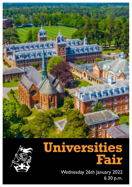



# **Universities Fair**

Wednesday 26th January 2022 6.30 p.m.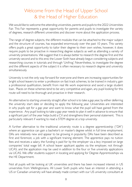### Welcome from the Head of Upper School & the Head of Higher Education

We would like to welcome the attending universities, parents and pupils to the 2022 Universities Fair. This Fair represents a great opportunity for parents and pupils to investigate the variety of degrees, research different universities and discover more about the application process.

The range of degree subjects, the different modules that can be attached to the major subject and the structure of courses, has expanded enormously over the past 10 years. This variety offers pupils a great opportunity to tailor their degree to their own wishes, however, it does require pupils to be proactive in researching degree subjects as well as attending a variety of university presentations. We suggest that it is always better to research the degree first and the university second and to this end, the Lower Sixth have already begun considering subjects and researching courses in tutorials and through 'Unifrog'. Nevertheless, to investigate the degree and the different aspects of the subject it is often necessary to research degree and university simultaneously.

University is not the only way forward for everyone and there are increasing opportunities for bright school leavers to enter a profession on fast track schemes, to be trained in industry, gain a professional qualification, benefit from real life work experience and avoid a large student loan. Places on these schemes tend to be very competitive and again, any pupil looking for this route will need to be thorough and proactive in their research.

An alternative to starting university straight after school is to take a gap year, by either deferring the university start date or deciding to apply the following year. Universities are interested in why pupils opt for a gap year and want to know what the pupil will have gained from the experience. Any pupil looking to take a gap year needs to plan it well in advance to ensure that a significant part of the year helps build a CV and strengthens their personal statement. This is particularly relevant if wanting to read a STEM degree at a top university.

A further alternative to the traditional university route is a degree apprenticeship ("DA") where an apprentice can gain a bachelor's or master's degree whilst in full time employment. DAs are relatively new and appear to be growing in popularity. DAs have been described as first and foremost, a job with a significant training element. The apprentice pays no tuition fees and receives a salary, the funding is paid for by the employer via a levy imposed on large companies' total wage bill. A school leaver applicant applies via the employer, not through UCAS, and the application may be used in addition to the four or five university applications via UCAS. We offer students support in locating and applying for Degree Apprenticeships via the HE Department.

Not all pupils will be looking at UK universities and there has been increased interest in US universities from Wellingtonians. All Lower Sixth pupils who have an interest in attending a US or Canadian university will have already made contact with our US university consultant at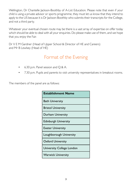Wellington, Dr Chantelle Jackson-Boothby of A-List Education. Please note that even if your child is using a private advisor or sports programme, they must let us know that they intend to apply to the US because it is Dr Jackson-Boothby who submits their transcripts for the College, and not a third party.

Whatever your eventual chosen route may be there is a vast array of expertise on offer today which should be able to deal with all your enquiries. Do please make use of them, and we hope that you enjoy the Fair.

Dr V E M Gardner (Head of Upper School & Director of HE and Careers) and Mr B Lewlsey (Head of HE)

### Format of the Evening

- 6.30 p.m. Panel session and Q & A.
- 7.30 p.m. Pupils and parents to visit university representatives in breakout rooms.

The members of the panel are as follows:

| <b>Establishment Name</b>   |  |  |  |
|-----------------------------|--|--|--|
| <b>Bath University</b>      |  |  |  |
| <b>Bristol University</b>   |  |  |  |
| Durham University           |  |  |  |
| <b>Edinburgh University</b> |  |  |  |
| <b>Exeter University</b>    |  |  |  |
| Loughborough University     |  |  |  |
| <b>Oxford University</b>    |  |  |  |
| University College London   |  |  |  |
| Warwick University          |  |  |  |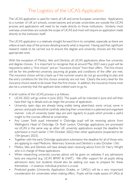#### The Logistics of the UCAS Application

The UCAS application is used for nearly all UK and some European universities. Applications to a number of UK art schools, conservatoires and private universities are outside the UCAS process and applications will need to be made directly to those institutions. Similarly, most overseas universities are outside the scope of UCAS and most will require an application made directly to the institution itself.

The UCAS application is a relatively straight forward form to complete, especially as there are videos at each step of the process detailing exactly what is required. Having said that, significant research needs to be carried out to ensure the degree and university choices are the most appropriate ones.

With the exception of Medics, Vets and Dentists, all UCAS applications allow five university and degree choices. It is important to recognise that at around May 2023 every pupil will be required to select a "first choice" and an "insurance choice" from their offers. The first choice will be for the preferred university assuming all grades and conditions of the offer are met. The insurance choice will be a back-up if the summer exams do not go according to plan and the entry conditions for the first choice university are not met. Clearly the entry level for the insurance choice needs to be lower than the first choice. In addition, the insurance choice must also be a university that the applicant does indeed want to go to.

A brief outline of the UCAS process is as follows:

- UCAS 2022 will go online in June 2022. The pupils will be inducted in June and will then have their log in details and can begin the process of application.
- University open days are already being widely being advertised, some virtual, some in person, and pupils should be carefully selecting their universities in a planned and organised manner. Lists of university taster days are sent regularly to pupils which provide a useful insight to the courses offered at universities.
- Any Lower Sixth pupil interested in Oxbridge pupil will be receiving advice from Wellington's Head of Oxbridge, Dr Ruth Lexton. Oxbridge applications are processed via UCAS in the same way as other UK university applications except the deadline for submission is much earlier (15th October 2022) than other applications (expected to be 15th January 2023).
- Together with the early Oxbridge application submission the deadline for all of those who are applying to read Medicine, Veterinary Sciences and Dentistry is also October 15th.
- Medics, Vets and Dentists will have already been receiving advice from Dr Harry Wright who is in charge of these applications.
- When researching university courses advice will be given on websites if any admissions tests are required (e.g. UCAT, BMAT & LNAT). We offer support for all pupils sitting admissions tests, but students should also be seeking out ways to prepare for these themselves – in essence, individual practice is crucial.
- Predicted grades (University Application Grades, or 'UAGs') will be a very important consideration for universities when making offers. Pupils will be made aware of UAGs at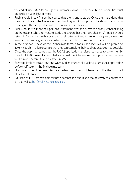the end of June 2022, following their Summer exams. Their research into universities must be carried out in light of these.

- Pupils should firstly finalise the course that they want to study. Once they have done that they should select the five universities that they want to apply to. This should be broad in range given the competitive nature of university application.
- Pupils should work on their personal statement over the summer holidays concentrating on the reasons why they want to study the course that they have chosen. All pupils should return in September with a draft personal statement and know what degree course they want to read and a good idea at which university they would like to read it.
- In the first two weeks of the Michaelmas term, tutorials and lectures will be geared to advising pupils in this process so that they can complete their application as soon as possible.
- Once the pupil has completed the UCAS application, a reference needs to be written by their HM, UAGs need to be added and a final check to ensure the application is complete will be made before it is sent off to UCAS.
- Early applications are advised and we would encourage all pupils to submit their application before half term in the Michaelmas term.
- Unifrog and the UCAS website are excellent resources and these should be the first port of call for all students
- As Head of HE, I am available for both parents and pupils and the best way to contact me is via e-mail at [bpl@wellingtoncollege.co.uk](mailto:bpl%40wellingtoncollege.co.uk?subject=)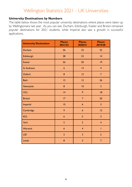## Wellington Statistics 2021 - UK Universities

#### **University Destinations by Numbers**

The table below shows the most popular university destinations where places were taken up by Wellingtonians last year. As you can see, Durham, Edinburgh, Exeter and Bristol remained popular destinations for 2021 students, while Imperial also saw a growth in successful applications.

| <b>University Destination</b> | <b>Places</b><br>2021/22 | <b>Places</b><br>2020/21 | <b>Places</b><br>2019/20 |
|-------------------------------|--------------------------|--------------------------|--------------------------|
| Durham                        | 26                       | 32                       | 25                       |
| Edinburgh                     | 28                       | 23                       | 4                        |
| <b>Exeter</b>                 | 26                       | 20                       | $ 9\rangle$              |
| <b>St Andrews</b>             | $6\phantom{a}$           | 13                       | $\overline{4}$           |
| Oxford                        | 8                        | 12                       | $\overline{7}$           |
| <b>Bath</b>                   | 12                       | 12                       | 26                       |
| <b>Newcastle</b>              | 8                        | 10                       | $\overline{3}$           |
| <b>UCL</b>                    | 4                        | 9                        | 8                        |
| <b>Bristol</b>                | 17                       | $\overline{7}$           | 20                       |
| Imperial                      | 10                       | $6\phantom{a}$           | $\overline{3}$           |
| Cambridge                     | 9                        | $6\phantom{1}6$          | 12                       |
| <b>KCL</b>                    | 6                        | 5                        | $\overline{2}$           |
| York                          | 5                        | 5                        | $\overline{4}$           |
| Warwick                       | $6\phantom{a}$           | $\overline{4}$           | $\mathbf{I}$             |
| <b>LSE</b>                    | $\overline{2}$           | 3                        | $\overline{2}$           |
| Leeds                         | 8                        | 3                        | $\overline{7}$           |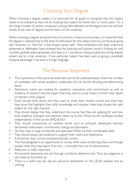### Choosing Your Degree

When choosing a degree subject it is important for all pupils to recognize that the subject needs to be enjoyed as they will be studying that subject for three, four or more years. For a very large number of careers, employers will pay little attention to the degree title, but will look closely at the class of degree and the status of the university.

When choosing a degree along the lines of economics, finance and business, it is important that the degree is selected due to the level of enthusiasm for the subject and not just because going into "business" or "the City" is the chosen career path. Many employers who have visited and presented at Wellington have stressed that the banking and business world is looking for well rounded, globally aware graduates who have a 2:1 and above, having studied any strong degree subject and at a top university. If any particular subject has been seen as giving a candidate marginal advantage it has been a foreign language.

#### The Personal Statement

- The importance of the personal statement cannot be underestimated. Given the number of candidates with similar academic credentials, this can be the deciding and determining factor.
- Admissions tutors are looking for academic motivation and commitment as well as evidence of research into the subject that they want to study. Does it confirm their depth of interest in the subject?
- Pupils should think about why they want to study their chosen course and what they have done that highlights their skills, knowledge and initiative. Have they chosen the right subject for the right reasons?
- They should display that they understand the course that they are applying for and how their academic strengths and interests match up to this. What has the candidate studied independently of the course (EPQ & EE)?
- They should concentrate on positive words such as achieved, developed, learned, discovered, enthusiasm, commitment, energy and fascination.
- Do they have a range of interests and aptitudes? What are their transferable skills?
- They should always use evidence to support their claims and statements.
- It should be clear, concise and grammatically correct.
- The final paragraph is an opportunity to convey other areas of learning; they must though explain what they have learnt from this – it shouldn't be a list of achievements.
- Reflection is vitally important.
- All personal statements are put through a similarity detection test. Thus any plagiarism is very likely to be picked up.
- There is a useful top ten tips for personal statements on the UCAS website and on Unifrog.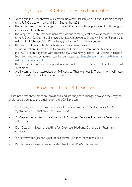#### US, Canadian & Other Overseas Universities

- Once again this year showed a successful university season with 28 pupils starting college in the US, Canada or mainland EU in September 2021.
- There has been a wide range of choices this year with pupils carefully choosing an appropriate fit for them.
- The range of North American universities includes mainly east and west coast universities in the US and Canada including every Ivy League university, including Brown (3 pupils), as well as NYU, Chicago (2), UC Berkeley (3), UCLA (2) and Georgetown.
- This trend will undoubtedly continue over the coming years.
- A-List Education UK continues to provide all North American university advice and SAT and ACT tuition, together with mainland EU university guidance. Dr Chantelle Jackson-Boothby, head A-List advisor, can be contacted at [chantellejacksonboothby@external.](mailto:chantellejacksonboothby%40external.wellingtoncollege.org.uk?subject=) [wellingtoncollege.org.uk](mailto:chantellejacksonboothby%40external.wellingtoncollege.org.uk?subject=)
- The annual US universities trip will resume in October 2022 and will visit east coast universities.
- Wellington has been accredited an SAT centre. Thus we host SAT exams for Wellington pupils as well as pupils from other schools.

#### Provisional Dates & Deadlines

Please note that these dates are provisional and are subject to change, however, they may be useful as a guide as to the timeline for the UCAS process.

- Mid to late lune There will be a bespoke programme of UCAS lectures, a UCAS registration and induction for the Lower Sixth.
- Mid-September Internal deadline for all Oxbridge, Medicine, Dentistry & Veterinary statements.
- 15th October External deadline for Oxbridge, Medicine, Dentistry & Veterinary applications.
- Early November (second week of half term) Oxford Admissions Tests.
- 15th January Expected external deadline for all UCAS submissions.